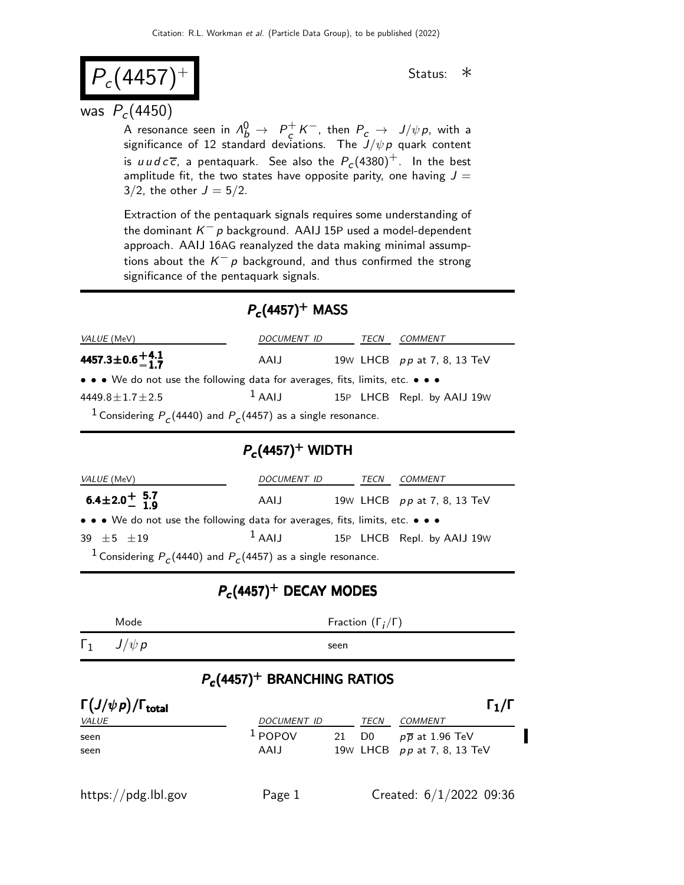$$
P_c(4457)^{+}
$$
 status: \*

### was  $P_c(4450)$

A resonance seen in  $\Lambda_b^0 \rightarrow~P_c^+$  $\frac{1}{c} K^-$ , then  $P_c \rightarrow J/\psi \rho$ , with a significance of 12 standard deviations. The  $J/\psi \, \rho$  quark content is  $u\,u\,d\,c\,\overline{c}$ , a pentaquark. See also the  $P_c(4380)^+$ . In the best amplitude fit, the two states have opposite parity, one having  $J =$ 3/2, the other  $J = 5/2$ .

Extraction of the pentaquark signals requires some understanding of the dominant  $K^-$  p background. AAIJ 15P used a model-dependent approach. AAIJ 16AG reanalyzed the data making minimal assumptions about the  $K^-$  p background, and thus confirmed the strong significance of the pentaquark signals.

### $P_c$ (4457)<sup>+</sup> MASS

| <i>VALUE</i> (MeV)                                                                                                    | DOCUMENT ID |  | TECN | COMMENT                     |  |
|-----------------------------------------------------------------------------------------------------------------------|-------------|--|------|-----------------------------|--|
| 4457.3 $\pm$ 0.6 $+4.1$                                                                                               | AAIJ        |  |      | 19W LHCB pp at 7, 8, 13 TeV |  |
| $\bullet \bullet \bullet$ We do not use the following data for averages, fits, limits, etc. $\bullet \bullet \bullet$ |             |  |      |                             |  |
| 4449.8 $\pm$ 1.7 $\pm$ 2.5                                                                                            | $1$ AAIJ    |  |      | 15P LHCB Repl. by AAIJ 19W  |  |
| <sup>1</sup> Considering $P_c(4440)$ and $P_c(4457)$ as a single resonance.                                           |             |  |      |                             |  |

## $P_c$ (4457) $^+$  WIDTH

| VALUE (MeV)                                                                   | DOCUMENT ID |  | TECN | COMMENT                     |  |
|-------------------------------------------------------------------------------|-------------|--|------|-----------------------------|--|
| $6.4 \pm 2.0^+$ 5.7                                                           | AAIJ        |  |      | 19w LHCB pp at 7, 8, 13 TeV |  |
| • • • We do not use the following data for averages, fits, limits, etc. • • • |             |  |      |                             |  |
| $39 + 5 + 19$                                                                 | $1$ AAIJ    |  |      | 15P LHCB Repl. by AAIJ 19W  |  |
| <sup>1</sup> Considering $P_c(4440)$ and $P_c(4457)$ as a single resonance.   |             |  |      |                             |  |

# $P_c$ (4457)<sup>+</sup> DECAY MODES

| Mode                  | Fraction $(\Gamma_i/\Gamma)$ |
|-----------------------|------------------------------|
| $\Gamma_1$ $J/\psi p$ | seen                         |

### $P_c$ (4457)<sup>+</sup> BRANCHING RATIOS

| $\Gamma(J/\psi \, p)/\Gamma_{\rm total}$ |                    |    |                | $\Gamma_1/\Gamma$           |
|------------------------------------------|--------------------|----|----------------|-----------------------------|
| <i>VALUE</i>                             | <b>DOCUMENT ID</b> |    | TECN           | <b>COMMENT</b>              |
| seen                                     | $1$ POPOV          | 21 | D <sub>0</sub> | $p\bar{p}$ at 1.96 TeV      |
| seen                                     | AAIJ               |    |                | 19w LHCB pp at 7, 8, 13 TeV |
|                                          |                    |    |                |                             |
| https://pdg.lbl.gov                      | Page 1             |    |                | Created: $6/1/2022$ 09:36   |